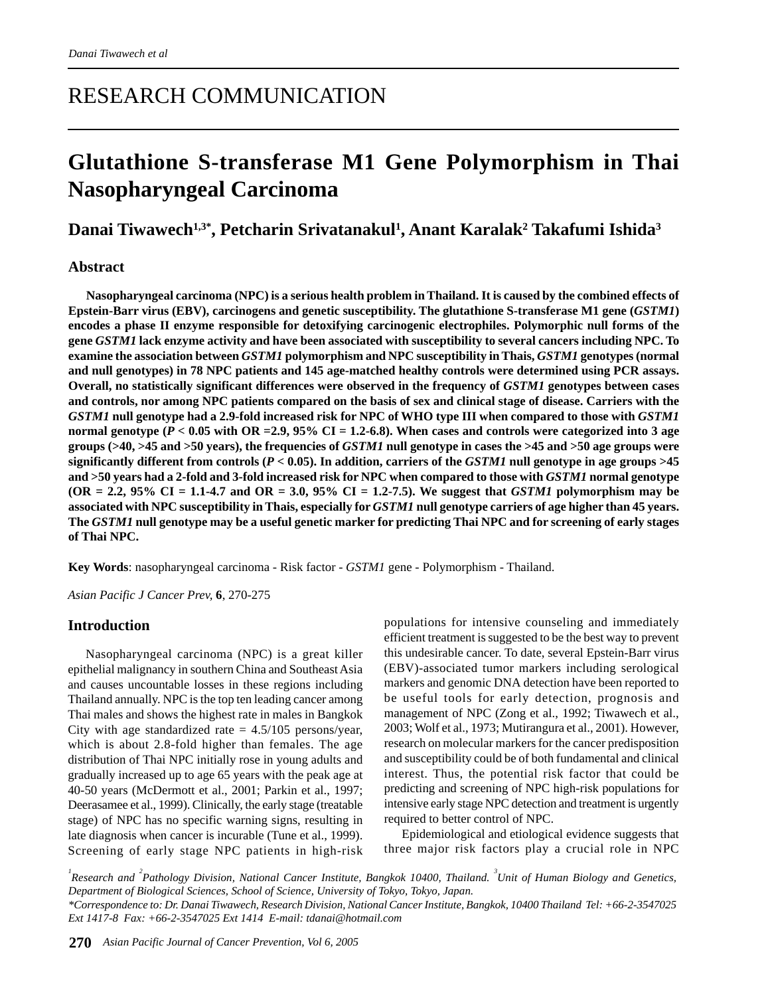# RESEARCH COMMUNICATION

# **Glutathione S-transferase M1 Gene Polymorphism in Thai Nasopharyngeal Carcinoma**

# **Danai Tiwawech1,3\*, Petcharin Srivatanakul1 , Anant Karalak2 Takafumi Ishida3**

# **Abstract**

**Nasopharyngeal carcinoma (NPC) is a serious health problem in Thailand. It is caused by the combined effects of Epstein-Barr virus (EBV), carcinogens and genetic susceptibility. The glutathione S-transferase M1 gene (***GSTM1***) encodes a phase II enzyme responsible for detoxifying carcinogenic electrophiles. Polymorphic null forms of the gene** *GSTM1* **lack enzyme activity and have been associated with susceptibility to several cancers including NPC. To examine the association between** *GSTM1* **polymorphism and NPC susceptibility in Thais,** *GSTM1* **genotypes (normal and null genotypes) in 78 NPC patients and 145 age-matched healthy controls were determined using PCR assays. Overall, no statistically significant differences were observed in the frequency of** *GSTM1* **genotypes between cases and controls, nor among NPC patients compared on the basis of sex and clinical stage of disease. Carriers with the** *GSTM1* **null genotype had a 2.9-fold increased risk for NPC of WHO type III when compared to those with** *GSTM1* **normal genotype (***P* **< 0.05 with OR =2.9, 95% CI = 1.2-6.8). When cases and controls were categorized into 3 age groups (>40, >45 and >50 years), the frequencies of** *GSTM1* **null genotype in cases the >45 and >50 age groups were significantly different from controls (***P* **< 0.05). In addition, carriers of the** *GSTM1* **null genotype in age groups >45 and >50 years had a 2-fold and 3-fold increased risk for NPC when compared to those with** *GSTM1* **normal genotype (OR = 2.2, 95% CI = 1.1-4.7 and OR = 3.0, 95% CI = 1.2-7.5). We suggest that** *GSTM1* **polymorphism may be associated with NPC susceptibility in Thais, especially for** *GSTM1* **null genotype carriers of age higher than 45 years. The** *GSTM1* **null genotype may be a useful genetic marker for predicting Thai NPC and for screening of early stages of Thai NPC.**

**Key Words**: nasopharyngeal carcinoma - Risk factor - *GSTM1* gene - Polymorphism - Thailand.

*Asian Pacific J Cancer Prev,* **6**, 270-275

# **Introduction**

Nasopharyngeal carcinoma (NPC) is a great killer epithelial malignancy in southern China and Southeast Asia and causes uncountable losses in these regions including Thailand annually. NPC is the top ten leading cancer among Thai males and shows the highest rate in males in Bangkok City with age standardized rate  $= 4.5/105$  persons/year, which is about 2.8-fold higher than females. The age distribution of Thai NPC initially rose in young adults and gradually increased up to age 65 years with the peak age at 40-50 years (McDermott et al., 2001; Parkin et al., 1997; Deerasamee et al., 1999). Clinically, the early stage (treatable stage) of NPC has no specific warning signs, resulting in late diagnosis when cancer is incurable (Tune et al., 1999). Screening of early stage NPC patients in high-risk

populations for intensive counseling and immediately efficient treatment is suggested to be the best way to prevent this undesirable cancer. To date, several Epstein-Barr virus (EBV)-associated tumor markers including serological markers and genomic DNA detection have been reported to be useful tools for early detection, prognosis and management of NPC (Zong et al., 1992; Tiwawech et al., 2003; Wolf et al., 1973; Mutirangura et al., 2001). However, research on molecular markers for the cancer predisposition and susceptibility could be of both fundamental and clinical interest. Thus, the potential risk factor that could be predicting and screening of NPC high-risk populations for intensive early stage NPC detection and treatment is urgently required to better control of NPC.

Epidemiological and etiological evidence suggests that three major risk factors play a crucial role in NPC

*1 Research and <sup>2</sup> Pathology Division, National Cancer Institute, Bangkok 10400, Thailand. <sup>3</sup> Unit of Human Biology and Genetics, Department of Biological Sciences, School of Science, University of Tokyo, Tokyo, Japan. \*Correspondence to: Dr. Danai Tiwawech, Research Division, National Cancer Institute, Bangkok, 10400 Thailand Tel: +66-2-3547025 Ext 1417-8 Fax: +66-2-3547025 Ext 1414 E-mail: tdanai@hotmail.com*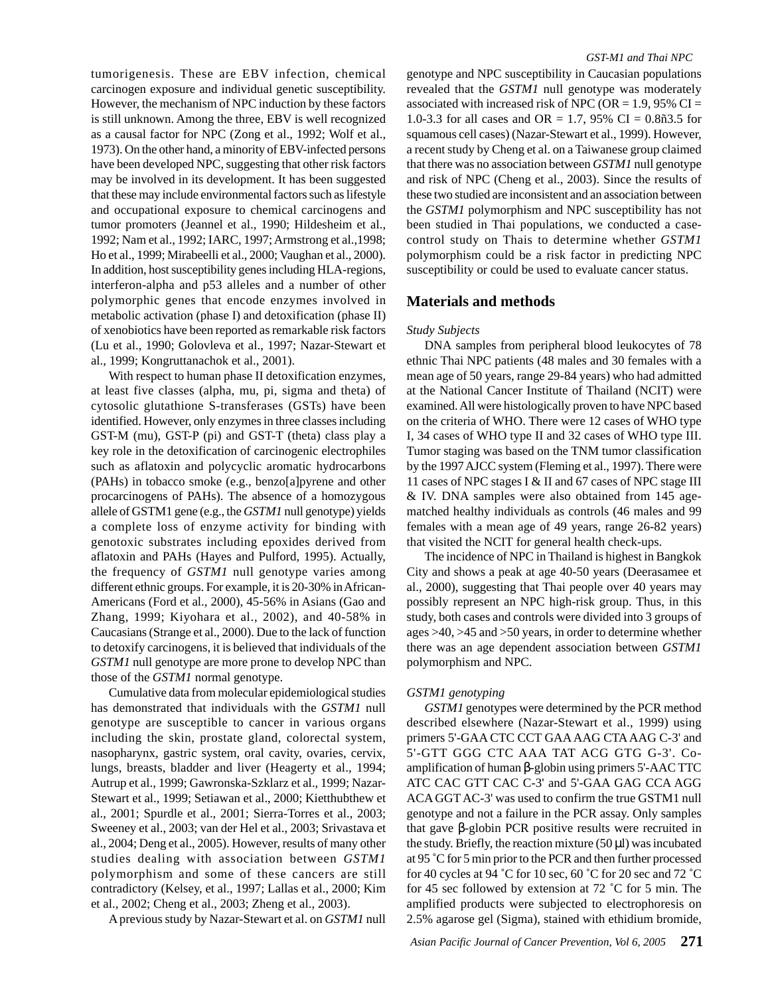tumorigenesis. These are EBV infection, chemical carcinogen exposure and individual genetic susceptibility. However, the mechanism of NPC induction by these factors is still unknown. Among the three, EBV is well recognized as a causal factor for NPC (Zong et al., 1992; Wolf et al., 1973). On the other hand, a minority of EBV-infected persons have been developed NPC, suggesting that other risk factors may be involved in its development. It has been suggested that these may include environmental factors such as lifestyle and occupational exposure to chemical carcinogens and tumor promoters (Jeannel et al., 1990; Hildesheim et al., 1992; Nam et al., 1992; IARC, 1997; Armstrong et al.,1998; Ho et al., 1999; Mirabeelli et al., 2000; Vaughan et al., 2000). In addition, host susceptibility genes including HLA-regions, interferon-alpha and p53 alleles and a number of other polymorphic genes that encode enzymes involved in metabolic activation (phase I) and detoxification (phase II) of xenobiotics have been reported as remarkable risk factors (Lu et al., 1990; Golovleva et al., 1997; Nazar-Stewart et al., 1999; Kongruttanachok et al., 2001).

With respect to human phase II detoxification enzymes, at least five classes (alpha, mu, pi, sigma and theta) of cytosolic glutathione S-transferases (GSTs) have been identified. However, only enzymes in three classes including GST-M (mu), GST-P (pi) and GST-T (theta) class play a key role in the detoxification of carcinogenic electrophiles such as aflatoxin and polycyclic aromatic hydrocarbons (PAHs) in tobacco smoke (e.g., benzo[a]pyrene and other procarcinogens of PAHs). The absence of a homozygous allele of GSTM1 gene (e.g., the *GSTM1* null genotype) yields a complete loss of enzyme activity for binding with genotoxic substrates including epoxides derived from aflatoxin and PAHs (Hayes and Pulford, 1995). Actually, the frequency of *GSTM1* null genotype varies among different ethnic groups. For example, it is 20-30% in African-Americans (Ford et al., 2000), 45-56% in Asians (Gao and Zhang, 1999; Kiyohara et al., 2002), and 40-58% in Caucasians (Strange et al., 2000). Due to the lack of function to detoxify carcinogens, it is believed that individuals of the *GSTM1* null genotype are more prone to develop NPC than those of the *GSTM1* normal genotype.

Cumulative data from molecular epidemiological studies has demonstrated that individuals with the *GSTM1* null genotype are susceptible to cancer in various organs including the skin, prostate gland, colorectal system, nasopharynx, gastric system, oral cavity, ovaries, cervix, lungs, breasts, bladder and liver (Heagerty et al., 1994; Autrup et al., 1999; Gawronska-Szklarz et al., 1999; Nazar-Stewart et al., 1999; Setiawan et al., 2000; Kietthubthew et al., 2001; Spurdle et al., 2001; Sierra-Torres et al., 2003; Sweeney et al., 2003; van der Hel et al., 2003; Srivastava et al., 2004; Deng et al., 2005). However, results of many other studies dealing with association between *GSTM1* polymorphism and some of these cancers are still contradictory (Kelsey, et al., 1997; Lallas et al., 2000; Kim et al., 2002; Cheng et al., 2003; Zheng et al., 2003).

A previous study by Nazar-Stewart et al. on *GSTM1* null

genotype and NPC susceptibility in Caucasian populations revealed that the *GSTM1* null genotype was moderately associated with increased risk of NPC (OR = 1.9, 95% CI = 1.0-3.3 for all cases and OR = 1.7, 95% CI =  $0.8\tilde{p}3.5$  for squamous cell cases) (Nazar-Stewart et al., 1999). However, a recent study by Cheng et al. on a Taiwanese group claimed that there was no association between *GSTM1* null genotype and risk of NPC (Cheng et al., 2003). Since the results of these two studied are inconsistent and an association between the *GSTM1* polymorphism and NPC susceptibility has not been studied in Thai populations, we conducted a casecontrol study on Thais to determine whether *GSTM1* polymorphism could be a risk factor in predicting NPC susceptibility or could be used to evaluate cancer status.

### **Materials and methods**

#### *Study Subjects*

DNA samples from peripheral blood leukocytes of 78 ethnic Thai NPC patients (48 males and 30 females with a mean age of 50 years, range 29-84 years) who had admitted at the National Cancer Institute of Thailand (NCIT) were examined. All were histologically proven to have NPC based on the criteria of WHO. There were 12 cases of WHO type I, 34 cases of WHO type II and 32 cases of WHO type III. Tumor staging was based on the TNM tumor classification by the 1997 AJCC system (Fleming et al., 1997). There were 11 cases of NPC stages I & II and 67 cases of NPC stage III & IV. DNA samples were also obtained from 145 agematched healthy individuals as controls (46 males and 99 females with a mean age of 49 years, range 26-82 years) that visited the NCIT for general health check-ups.

The incidence of NPC in Thailand is highest in Bangkok City and shows a peak at age 40-50 years (Deerasamee et al., 2000), suggesting that Thai people over 40 years may possibly represent an NPC high-risk group. Thus, in this study, both cases and controls were divided into 3 groups of ages >40, >45 and >50 years, in order to determine whether there was an age dependent association between *GSTM1* polymorphism and NPC.

#### *GSTM1 genotyping*

*GSTM1* genotypes were determined by the PCR method described elsewhere (Nazar-Stewart et al., 1999) using primers 5'-GAA CTC CCT GAA AAG CTA AAG C-3' and 5'-GTT GGG CTC AAA TAT ACG GTG G-3'. Coamplification of human β-globin using primers 5'-AAC TTC ATC CAC GTT CAC C-3' and 5'-GAA GAG CCA AGG ACA GGT AC-3' was used to confirm the true GSTM1 null genotype and not a failure in the PCR assay. Only samples that gave β-globin PCR positive results were recruited in the study. Briefly, the reaction mixture  $(50 \,\mu\text{I})$  was incubated at 95 ˚C for 5 min prior to the PCR and then further processed for 40 cycles at 94 ˚C for 10 sec, 60 ˚C for 20 sec and 72 ˚C for 45 sec followed by extension at 72 ˚C for 5 min. The amplified products were subjected to electrophoresis on 2.5% agarose gel (Sigma), stained with ethidium bromide,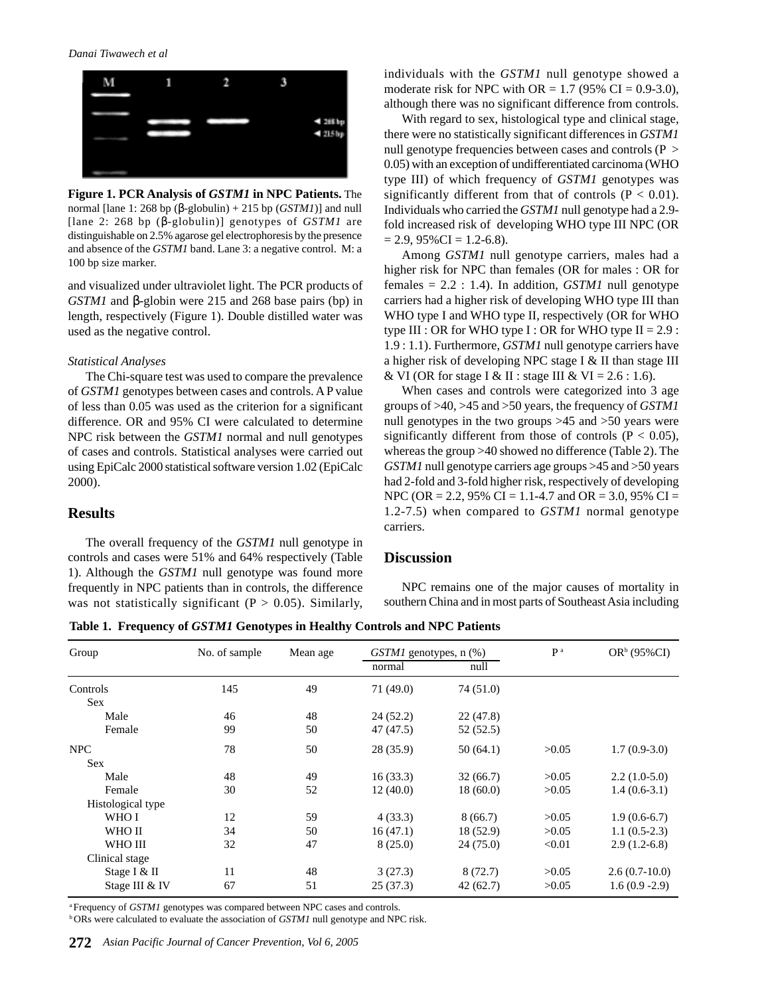#### *Danai Tiwawech et al*



**Figure 1. PCR Analysis of** *GSTM1* **in NPC Patients.** The normal [lane 1: 268 bp (β-globulin) + 215 bp (*GSTM1*)] and null [lane 2: 268 bp (β-globulin)] genotypes of *GSTM1* are distinguishable on 2.5% agarose gel electrophoresis by the presence and absence of the *GSTM1* band. Lane 3: a negative control. M: a 100 bp size marker.

and visualized under ultraviolet light. The PCR products of *GSTM1* and β-globin were 215 and 268 base pairs (bp) in length, respectively (Figure 1). Double distilled water was used as the negative control.

#### *Statistical Analyses*

The Chi-square test was used to compare the prevalence of *GSTM1* genotypes between cases and controls. A P value of less than 0.05 was used as the criterion for a significant difference. OR and 95% CI were calculated to determine NPC risk between the *GSTM1* normal and null genotypes of cases and controls. Statistical analyses were carried out using EpiCalc 2000 statistical software version 1.02 (EpiCalc 2000).

# **Results**

The overall frequency of the *GSTM1* null genotype in controls and cases were 51% and 64% respectively (Table 1). Although the *GSTM1* null genotype was found more frequently in NPC patients than in controls, the difference was not statistically significant ( $P > 0.05$ ). Similarly, individuals with the *GSTM1* null genotype showed a moderate risk for NPC with OR =  $1.7$  (95% CI = 0.9-3.0), although there was no significant difference from controls.

With regard to sex, histological type and clinical stage, there were no statistically significant differences in *GSTM1* null genotype frequencies between cases and controls (P  $>$ 0.05) with an exception of undifferentiated carcinoma (WHO type III) of which frequency of *GSTM1* genotypes was significantly different from that of controls  $(P < 0.01)$ . Individuals who carried the *GSTM1* null genotype had a 2.9 fold increased risk of developing WHO type III NPC (OR  $= 2.9, 95\% \text{CI} = 1.2-6.8$ .

Among *GSTM1* null genotype carriers, males had a higher risk for NPC than females (OR for males : OR for females = 2.2 : 1.4). In addition, *GSTM1* null genotype carriers had a higher risk of developing WHO type III than WHO type I and WHO type II, respectively (OR for WHO type III : OR for WHO type I : OR for WHO type II =  $2.9$  : 1.9 : 1.1). Furthermore, *GSTM1* null genotype carriers have a higher risk of developing NPC stage I & II than stage III & VI (OR for stage I & II : stage III & VI =  $2.6$  : 1.6).

When cases and controls were categorized into 3 age groups of >40, >45 and >50 years, the frequency of *GSTM1* null genotypes in the two groups >45 and >50 years were significantly different from those of controls ( $P < 0.05$ ), whereas the group >40 showed no difference (Table 2). The *GSTM1* null genotype carriers age groups >45 and >50 years had 2-fold and 3-fold higher risk, respectively of developing NPC (OR = 2.2, 95% CI = 1.1-4.7 and OR = 3.0, 95% CI = 1.2-7.5) when compared to *GSTM1* normal genotype carriers.

# **Discussion**

NPC remains one of the major causes of mortality in southern China and in most parts of Southeast Asia including

**Table 1. Frequency of** *GSTM1* **Genotypes in Healthy Controls and NPC Patients**

| Group             | No. of sample | Mean age | $GSTM1$ genotypes, n $(\%)$ |           | P <sup>a</sup> | OR <sup>b</sup> (95%CI) |
|-------------------|---------------|----------|-----------------------------|-----------|----------------|-------------------------|
|                   |               |          | normal                      | null      |                |                         |
| Controls          | 145           | 49       | 71 (49.0)                   | 74 (51.0) |                |                         |
| <b>Sex</b>        |               |          |                             |           |                |                         |
| Male              | 46            | 48       | 24(52.2)                    | 22(47.8)  |                |                         |
| Female            | 99            | 50       | 47 (47.5)                   | 52(52.5)  |                |                         |
| <b>NPC</b>        | 78            | 50       | 28 (35.9)                   | 50(64.1)  | >0.05          | $1.7(0.9-3.0)$          |
| <b>Sex</b>        |               |          |                             |           |                |                         |
| Male              | 48            | 49       | 16(33.3)                    | 32(66.7)  | >0.05          | $2.2(1.0-5.0)$          |
| Female            | 30            | 52       | 12(40.0)                    | 18(60.0)  | >0.05          | $1.4(0.6-3.1)$          |
| Histological type |               |          |                             |           |                |                         |
| WHO I             | 12            | 59       | 4(33.3)                     | 8(66.7)   | >0.05          | $1.9(0.6-6.7)$          |
| WHO II            | 34            | 50       | 16(47.1)                    | 18(52.9)  | >0.05          | $1.1(0.5-2.3)$          |
| WHO III           | 32            | 47       | 8(25.0)                     | 24(75.0)  | < 0.01         | $2.9(1.2-6.8)$          |
| Clinical stage    |               |          |                             |           |                |                         |
| Stage I & II      | 11            | 48       | 3(27.3)                     | 8(72.7)   | >0.05          | $2.6(0.7-10.0)$         |
| Stage III & IV    | 67            | 51       | 25(37.3)                    | 42(62.7)  | >0.05          | $1.6(0.9 - 2.9)$        |

<sup>a</sup> Frequency of *GSTM1* genotypes was compared between NPC cases and controls.

<sup>b</sup> ORs were calculated to evaluate the association of *GSTM1* null genotype and NPC risk.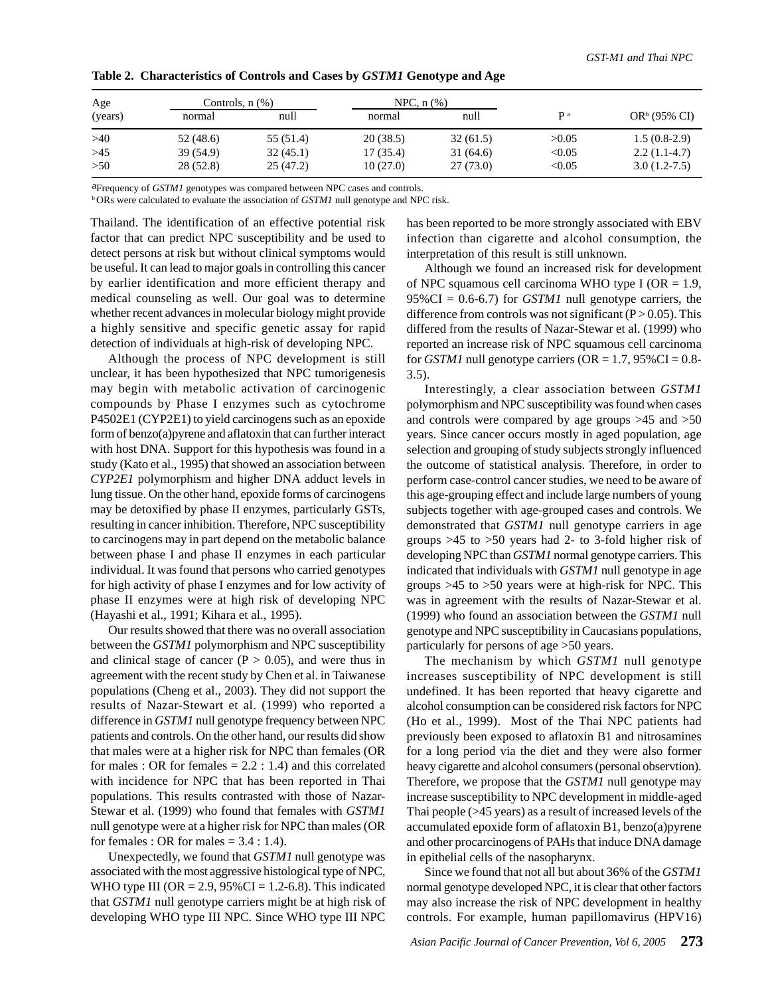| Age     |           | Controls, $n$ $(\%)$ |          | NPC, $n$ $(\%)$ |            |                          |
|---------|-----------|----------------------|----------|-----------------|------------|--------------------------|
| (years) | normal    | null                 | normal   | null            | <b>p</b> a | OR <sup>b</sup> (95% CI) |
| >40     | 52 (48.6) | 55 (51.4)            | 20(38.5) | 32(61.5)        | >0.05      | $1.5(0.8-2.9)$           |
| >45     | 39 (54.9) | 32(45.1)             | 17(35.4) | 31(64.6)        | < 0.05     | $2.2(1.1-4.7)$           |
| >50     | 28 (52.8) | 25(47.2)             | 10(27.0) | 27(73.0)        | < 0.05     | $3.0(1.2-7.5)$           |

### **Table 2. Characteristics of Controls and Cases by** *GSTM1* **Genotype and Age**

aFrequency of *GSTM1* genotypes was compared between NPC cases and controls.

b ORs were calculated to evaluate the association of *GSTM1* null genotype and NPC risk.

Thailand. The identification of an effective potential risk factor that can predict NPC susceptibility and be used to detect persons at risk but without clinical symptoms would be useful. It can lead to major goals in controlling this cancer by earlier identification and more efficient therapy and medical counseling as well. Our goal was to determine whether recent advances in molecular biology might provide a highly sensitive and specific genetic assay for rapid detection of individuals at high-risk of developing NPC.

Although the process of NPC development is still unclear, it has been hypothesized that NPC tumorigenesis may begin with metabolic activation of carcinogenic compounds by Phase I enzymes such as cytochrome P4502E1 (CYP2E1) to yield carcinogens such as an epoxide form of benzo(a)pyrene and aflatoxin that can further interact with host DNA. Support for this hypothesis was found in a study (Kato et al., 1995) that showed an association between *CYP2E1* polymorphism and higher DNA adduct levels in lung tissue. On the other hand, epoxide forms of carcinogens may be detoxified by phase II enzymes, particularly GSTs, resulting in cancer inhibition. Therefore, NPC susceptibility to carcinogens may in part depend on the metabolic balance between phase I and phase II enzymes in each particular individual. It was found that persons who carried genotypes for high activity of phase I enzymes and for low activity of phase II enzymes were at high risk of developing NPC (Hayashi et al., 1991; Kihara et al., 1995).

Our results showed that there was no overall association between the *GSTM1* polymorphism and NPC susceptibility and clinical stage of cancer  $(P > 0.05)$ , and were thus in agreement with the recent study by Chen et al. in Taiwanese populations (Cheng et al., 2003). They did not support the results of Nazar-Stewart et al. (1999) who reported a difference in *GSTM1* null genotype frequency between NPC patients and controls. On the other hand, our results did show that males were at a higher risk for NPC than females (OR for males : OR for females  $= 2.2$  : 1.4) and this correlated with incidence for NPC that has been reported in Thai populations. This results contrasted with those of Nazar-Stewar et al. (1999) who found that females with *GSTM1* null genotype were at a higher risk for NPC than males (OR for females : OR for males  $= 3.4 : 1.4$ .

Unexpectedly, we found that *GSTM1* null genotype was associated with the most aggressive histological type of NPC, WHO type III ( $OR = 2.9$ ,  $95\% CI = 1.2-6.8$ ). This indicated that *GSTM1* null genotype carriers might be at high risk of developing WHO type III NPC. Since WHO type III NPC has been reported to be more strongly associated with EBV infection than cigarette and alcohol consumption, the interpretation of this result is still unknown.

Although we found an increased risk for development of NPC squamous cell carcinoma WHO type I ( $OR = 1.9$ ,  $95\%CI = 0.6-6.7$  for *GSTM1* null genotype carriers, the difference from controls was not significant  $(P > 0.05)$ . This differed from the results of Nazar-Stewar et al. (1999) who reported an increase risk of NPC squamous cell carcinoma for *GSTM1* null genotype carriers ( $OR = 1.7$ ,  $95\% CI = 0.8$ -3.5).

Interestingly, a clear association between *GSTM1* polymorphism and NPC susceptibility was found when cases and controls were compared by age groups >45 and >50 years. Since cancer occurs mostly in aged population, age selection and grouping of study subjects strongly influenced the outcome of statistical analysis. Therefore, in order to perform case-control cancer studies, we need to be aware of this age-grouping effect and include large numbers of young subjects together with age-grouped cases and controls. We demonstrated that *GSTM1* null genotype carriers in age groups >45 to >50 years had 2- to 3-fold higher risk of developing NPC than *GSTM1* normal genotype carriers. This indicated that individuals with *GSTM1* null genotype in age groups >45 to >50 years were at high-risk for NPC. This was in agreement with the results of Nazar-Stewar et al. (1999) who found an association between the *GSTM1* null genotype and NPC susceptibility in Caucasians populations, particularly for persons of age >50 years.

The mechanism by which *GSTM1* null genotype increases susceptibility of NPC development is still undefined. It has been reported that heavy cigarette and alcohol consumption can be considered risk factors for NPC (Ho et al., 1999). Most of the Thai NPC patients had previously been exposed to aflatoxin B1 and nitrosamines for a long period via the diet and they were also former heavy cigarette and alcohol consumers (personal observtion). Therefore, we propose that the *GSTM1* null genotype may increase susceptibility to NPC development in middle-aged Thai people (>45 years) as a result of increased levels of the accumulated epoxide form of aflatoxin B1, benzo(a)pyrene and other procarcinogens of PAHs that induce DNA damage in epithelial cells of the nasopharynx.

Since we found that not all but about 36% of the *GSTM1* normal genotype developed NPC, it is clear that other factors may also increase the risk of NPC development in healthy controls. For example, human papillomavirus (HPV16)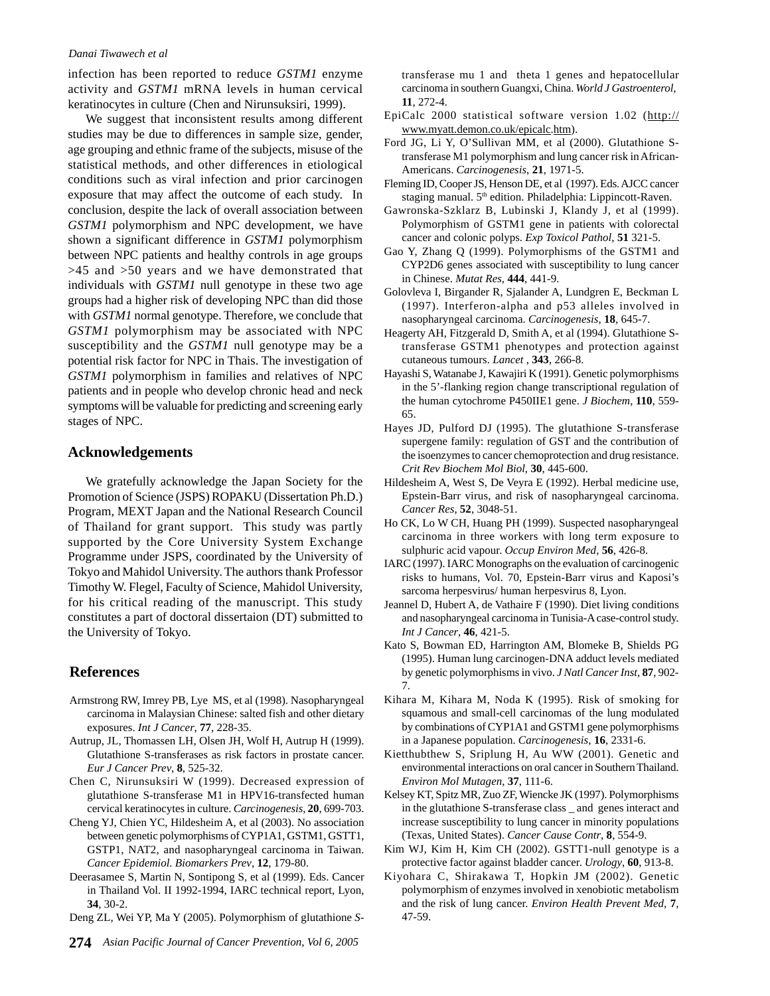#### *Danai Tiwawech et al*

infection has been reported to reduce *GSTM1* enzyme activity and *GSTM1* mRNA levels in human cervical keratinocytes in culture (Chen and Nirunsuksiri, 1999).

We suggest that inconsistent results among different studies may be due to differences in sample size, gender, age grouping and ethnic frame of the subjects, misuse of the statistical methods, and other differences in etiological conditions such as viral infection and prior carcinogen exposure that may affect the outcome of each study. In conclusion, despite the lack of overall association between *GSTM1* polymorphism and NPC development, we have shown a significant difference in *GSTM1* polymorphism between NPC patients and healthy controls in age groups >45 and >50 years and we have demonstrated that individuals with *GSTM1* null genotype in these two age groups had a higher risk of developing NPC than did those with *GSTM1* normal genotype. Therefore, we conclude that *GSTM1* polymorphism may be associated with NPC susceptibility and the *GSTM1* null genotype may be a potential risk factor for NPC in Thais. The investigation of *GSTM1* polymorphism in families and relatives of NPC patients and in people who develop chronic head and neck symptoms will be valuable for predicting and screening early stages of NPC.

# **Acknowledgements**

We gratefully acknowledge the Japan Society for the Promotion of Science (JSPS) ROPAKU (Dissertation Ph.D.) Program, MEXT Japan and the National Research Council of Thailand for grant support. This study was partly supported by the Core University System Exchange Programme under JSPS, coordinated by the University of Tokyo and Mahidol University. The authors thank Professor Timothy W. Flegel, Faculty of Science, Mahidol University, for his critical reading of the manuscript. This study constitutes a part of doctoral dissertaion (DT) submitted to the University of Tokyo.

# **References**

- Armstrong RW, Imrey PB, Lye MS, et al (1998). Nasopharyngeal carcinoma in Malaysian Chinese: salted fish and other dietary exposures. *Int J Cancer*, **77**, 228-35.
- Autrup, JL, Thomassen LH, Olsen JH, Wolf H, Autrup H (1999). Glutathione S-transferases as risk factors in prostate cancer. *Eur J Cancer Prev*, **8**, 525-32.
- Chen C, Nirunsuksiri W (1999). Decreased expression of glutathione S-transferase M1 in HPV16-transfected human cervical keratinocytes in culture. *Carcinogenesis*, **20**, 699-703.
- Cheng YJ, Chien YC, Hildesheim A, et al (2003). No association between genetic polymorphisms of CYP1A1, GSTM1, GSTT1, GSTP1, NAT2, and nasopharyngeal carcinoma in Taiwan. *Cancer Epidemiol. Biomarkers Prev*, **12**, 179-80.
- Deerasamee S, Martin N, Sontipong S, et al (1999). Eds. Cancer in Thailand Vol. II 1992-1994, IARC technical report, Lyon, **34**, 30-2.
- Deng ZL, Wei YP, Ma Y (2005). Polymorphism of glutathione *S*-

transferase mu 1 and theta 1 genes and hepatocellular carcinoma in southern Guangxi, China. *World J Gastroenterol*, **11**, 272-4.

- EpiCalc 2000 statistical software version 1.02 (http:// www.myatt.demon.co.uk/epicalc.htm).
- Ford JG, Li Y, O'Sullivan MM, et al (2000). Glutathione Stransferase M1 polymorphism and lung cancer risk in African-Americans. *Carcinogenesis*, **21**, 1971-5.
- Fleming ID, Cooper JS, Henson DE, et al (1997). Eds. AJCC cancer staging manual. 5<sup>th</sup> edition. Philadelphia: Lippincott-Raven.
- Gawronska-Szklarz B, Lubinski J, Klandy J, et al (1999). Polymorphism of GSTM1 gene in patients with colorectal cancer and colonic polyps. *Exp Toxicol Pathol*, **51** 321-5.
- Gao Y, Zhang Q (1999). Polymorphisms of the GSTM1 and CYP2D6 genes associated with susceptibility to lung cancer in Chinese. *Mutat Res*, **444**, 441-9.
- Golovleva I, Birgander R, Sjalander A, Lundgren E, Beckman L (1997). Interferon-alpha and p53 alleles involved in nasopharyngeal carcinoma. *Carcinogenesis*, **18**, 645-7.
- Heagerty AH, Fitzgerald D, Smith A, et al (1994). Glutathione Stransferase GSTM1 phenotypes and protection against cutaneous tumours. *Lancet* , **343**, 266-8.
- Hayashi S, Watanabe J, Kawajiri K (1991). Genetic polymorphisms in the 5'-flanking region change transcriptional regulation of the human cytochrome P450IIE1 gene. *J Biochem*, **110**, 559- 65.
- Hayes JD, Pulford DJ (1995). The glutathione S-transferase supergene family: regulation of GST and the contribution of the isoenzymes to cancer chemoprotection and drug resistance. *Crit Rev Biochem Mol Biol*, **30**, 445-600.
- Hildesheim A, West S, De Veyra E (1992). Herbal medicine use, Epstein-Barr virus, and risk of nasopharyngeal carcinoma. *Cancer Res*, **52**, 3048-51.
- Ho CK, Lo W CH, Huang PH (1999). Suspected nasopharyngeal carcinoma in three workers with long term exposure to sulphuric acid vapour. *Occup Environ Med*, **56**, 426-8.
- IARC (1997). IARC Monographs on the evaluation of carcinogenic risks to humans, Vol. 70, Epstein-Barr virus and Kaposi's sarcoma herpesvirus/ human herpesvirus 8, Lyon.
- Jeannel D, Hubert A, de Vathaire F (1990). Diet living conditions and nasopharyngeal carcinoma in Tunisia-A case-control study. *Int J Cancer*, **46**, 421-5.
- Kato S, Bowman ED, Harrington AM, Blomeke B, Shields PG (1995). Human lung carcinogen-DNA adduct levels mediated by genetic polymorphisms in vivo. *J Natl Cancer Inst*, **87**, 902- 7.
- Kihara M, Kihara M, Noda K (1995). Risk of smoking for squamous and small-cell carcinomas of the lung modulated by combinations of CYP1A1 and GSTM1 gene polymorphisms in a Japanese population. *Carcinogenesis*, **16**, 2331-6.
- Kietthubthew S, Sriplung H, Au WW (2001). Genetic and environmental interactions on oral cancer in Southern Thailand. *Environ Mol Mutagen*, **37**, 111-6.
- Kelsey KT, Spitz MR, Zuo ZF, Wiencke JK (1997). Polymorphisms in the glutathione S-transferase class \_ and genes interact and increase susceptibility to lung cancer in minority populations (Texas, United States). *Cancer Cause Contr*, **8**, 554-9.
- Kim WJ, Kim H, Kim CH (2002). GSTT1-null genotype is a protective factor against bladder cancer. *Urology*, **60**, 913-8.
- Kiyohara C, Shirakawa T, Hopkin JM (2002). Genetic polymorphism of enzymes involved in xenobiotic metabolism and the risk of lung cancer. *Environ Health Prevent Med*, **7**, 47-59.